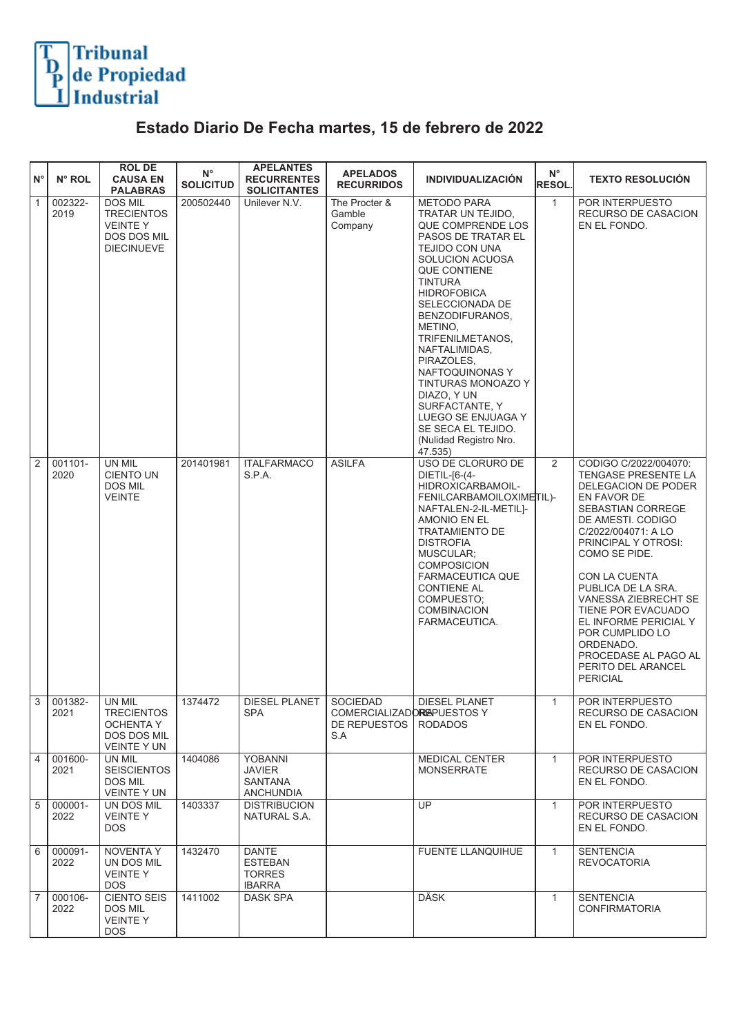

## **Estado Diario De Fecha martes, 15 de febrero de 2022**

| $\mathsf{N}^\circ$ | N° ROL          | <b>ROL DE</b><br><b>CAUSA EN</b><br><b>PALABRAS</b>                                       | $N^{\circ}$<br><b>SOLICITUD</b> | <b>APELANTES</b><br><b>RECURRENTES</b><br><b>SOLICITANTES</b>    | <b>APELADOS</b><br><b>RECURRIDOS</b>                                          | <b>INDIVIDUALIZACIÓN</b>                                                                                                                                                                                                                                                                                                                                                                                                                                     | $\mathsf{N}^\circ$<br>RESOL. | <b>TEXTO RESOLUCIÓN</b>                                                                                                                                                                                                                                                                                                                                                                                    |
|--------------------|-----------------|-------------------------------------------------------------------------------------------|---------------------------------|------------------------------------------------------------------|-------------------------------------------------------------------------------|--------------------------------------------------------------------------------------------------------------------------------------------------------------------------------------------------------------------------------------------------------------------------------------------------------------------------------------------------------------------------------------------------------------------------------------------------------------|------------------------------|------------------------------------------------------------------------------------------------------------------------------------------------------------------------------------------------------------------------------------------------------------------------------------------------------------------------------------------------------------------------------------------------------------|
| $\overline{1}$     | 002322-<br>2019 | <b>DOS MIL</b><br><b>TRECIENTOS</b><br><b>VEINTEY</b><br>DOS DOS MIL<br><b>DIECINUEVE</b> | 200502440                       | Unilever N.V.                                                    | The Procter &<br>Gamble<br>Company                                            | <b>METODO PARA</b><br>TRATAR UN TEJIDO,<br>QUE COMPRENDE LOS<br><b>PASOS DE TRATAR EL</b><br>TEJIDO CON UNA<br>SOLUCION ACUOSA<br><b>QUE CONTIENE</b><br><b>TINTURA</b><br><b>HIDROFOBICA</b><br>SELECCIONADA DE<br>BENZODIFURANOS,<br>METINO.<br>TRIFENILMETANOS,<br>NAFTALIMIDAS,<br>PIRAZOLES,<br>NAFTOQUINONAS Y<br>TINTURAS MONOAZO Y<br>DIAZO, Y UN<br>SURFACTANTE, Y<br>LUEGO SE ENJUAGA Y<br>SE SECA EL TEJIDO.<br>(Nulidad Registro Nro.<br>47.535) | $\mathbf{1}$                 | POR INTERPUESTO<br>RECURSO DE CASACION<br>EN EL FONDO.                                                                                                                                                                                                                                                                                                                                                     |
| $\sqrt{2}$         | 001101-<br>2020 | UN MIL<br><b>CIENTO UN</b><br>DOS MIL<br><b>VEINTE</b>                                    | 201401981                       | <b>ITALFARMACO</b><br>S.P.A.                                     | <b>ASILFA</b>                                                                 | USO DE CLORURO DE<br>DIETIL-[6-(4-<br>HIDROXICARBAMOIL-<br>FENILCARBAMOILOXIMETIL)-<br>NAFTALEN-2-IL-METIL]-<br>AMONIO EN EL<br>TRATAMIENTO DE<br><b>DISTROFIA</b><br>MUSCULAR:<br><b>COMPOSICION</b><br><b>FARMACEUTICA QUE</b><br>CONTIENE AL<br>COMPUESTO;<br>COMBINACION<br>FARMACEUTICA.                                                                                                                                                                | 2                            | CODIGO C/2022/004070:<br>TENGASE PRESENTE LA<br>DELEGACION DE PODER<br>EN FAVOR DE<br>SEBASTIAN CORREGE<br>DE AMESTI. CODIGO<br>C/2022/004071: A LO<br>PRINCIPAL Y OTROSI:<br>COMO SE PIDE.<br>CON LA CUENTA<br>PUBLICA DE LA SRA.<br>VANESSA ZIEBRECHT SE<br>TIENE POR EVACUADO<br>EL INFORME PERICIAL Y<br>POR CUMPLIDO LO<br>ORDENADO.<br>PROCEDASE AL PAGO AL<br>PERITO DEL ARANCEL<br><b>PERICIAL</b> |
| $\sqrt{3}$         | 001382-<br>2021 | UN MIL<br>TRECIENTOS<br>OCHENTA Y<br>DOS DOS MIL<br>VEINTE Y UN                           | 1374472                         | <b>DIESEL PLANET</b><br>SPA                                      | <b>SOCIEDAD</b><br>COMERCIALIZADOREPUESTOS Y<br>DE REPUESTOS   RODADOS<br>S.A | <b>DIESEL PLANET</b>                                                                                                                                                                                                                                                                                                                                                                                                                                         | $\mathbf{1}$                 | POR INTERPUESTO<br>RECURSO DE CASACION<br>EN EL FONDO.                                                                                                                                                                                                                                                                                                                                                     |
| $\boxed{4}$        | 001600-<br>2021 | UN MIL<br><b>SEISCIENTOS</b><br>DOS MIL<br><b>VEINTE Y UN</b>                             | 1404086                         | YOBANNI<br>JAVIER<br>SANTANA<br>ANCHUNDIA                        |                                                                               | <b>MEDICAL CENTER</b><br><b>MONSERRATE</b>                                                                                                                                                                                                                                                                                                                                                                                                                   | $\mathbf{1}$                 | POR INTERPUESTO<br><b>RECURSO DE CASACION</b><br>EN EL FONDO.                                                                                                                                                                                                                                                                                                                                              |
| $\overline{5}$     | 000001-<br>2022 | UN DOS MIL<br><b>VEINTEY</b><br>DOS.                                                      | 1403337                         | <b>DISTRIBUCION</b><br>NATURAL S.A.                              |                                                                               | UP                                                                                                                                                                                                                                                                                                                                                                                                                                                           | $\mathbf{1}$                 | POR INTERPUESTO<br>RECURSO DE CASACION<br>EN EL FONDO.                                                                                                                                                                                                                                                                                                                                                     |
| $\overline{6}$     | 000091-<br>2022 | <b>NOVENTA Y</b><br>UN DOS MIL<br><b>VEINTEY</b><br>DOS.                                  | 1432470                         | <b>DANTE</b><br><b>ESTEBAN</b><br><b>TORRES</b><br><b>IBARRA</b> |                                                                               | <b>FUENTE LLANQUIHUE</b>                                                                                                                                                                                                                                                                                                                                                                                                                                     | $\mathbf{1}$                 | <b>SENTENCIA</b><br><b>REVOCATORIA</b>                                                                                                                                                                                                                                                                                                                                                                     |
| 17                 | 000106-<br>2022 | <b>CIENTO SEIS</b><br>DOS MIL<br><b>VEINTE Y</b><br>DOS.                                  | 1411002                         | <b>DASK SPA</b>                                                  |                                                                               | <b>DÄSK</b>                                                                                                                                                                                                                                                                                                                                                                                                                                                  | $\mathbf{1}$                 | <b>SENTENCIA</b><br><b>CONFIRMATORIA</b>                                                                                                                                                                                                                                                                                                                                                                   |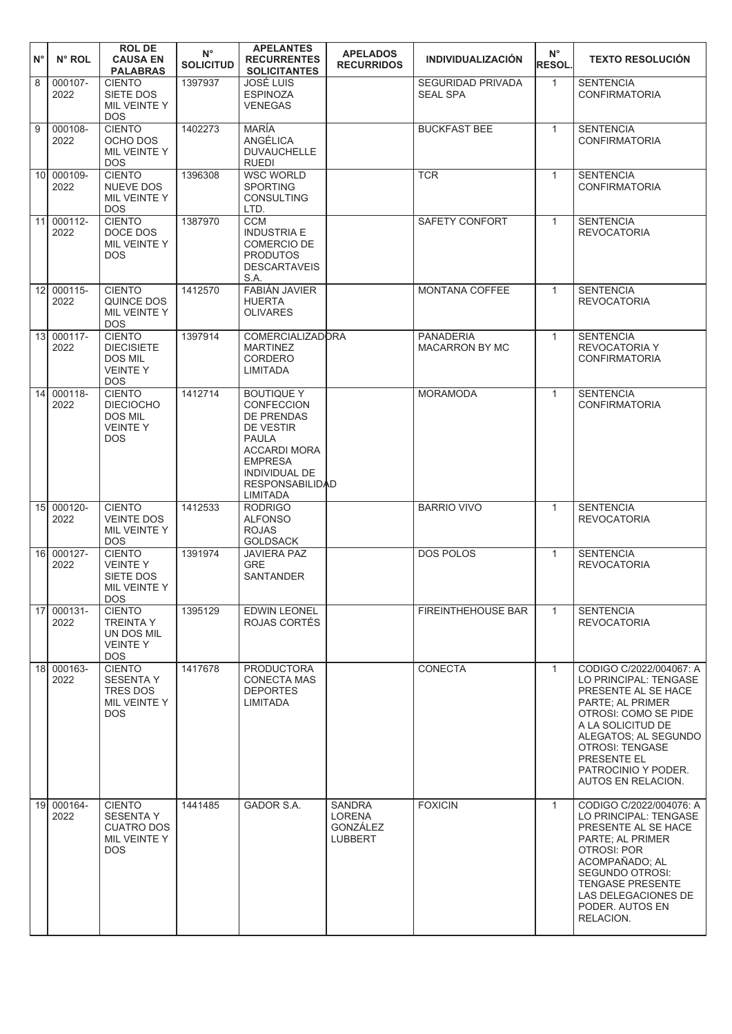| N° | N° ROL             | <b>ROLDE</b><br><b>CAUSA EN</b><br><b>PALABRAS</b>                                   | $N^{\circ}$<br><b>SOLICITUD</b> | <b>APELANTES</b><br><b>RECURRENTES</b><br><b>SOLICITANTES</b>                                                                                                                                   | <b>APELADOS</b><br><b>RECURRIDOS</b>                  | <b>INDIVIDUALIZACIÓN</b>                    | $N^{\circ}$<br>RESOL. | <b>TEXTO RESOLUCIÓN</b>                                                                                                                                                                                                                                |
|----|--------------------|--------------------------------------------------------------------------------------|---------------------------------|-------------------------------------------------------------------------------------------------------------------------------------------------------------------------------------------------|-------------------------------------------------------|---------------------------------------------|-----------------------|--------------------------------------------------------------------------------------------------------------------------------------------------------------------------------------------------------------------------------------------------------|
| 8  | 000107-<br>2022    | <b>CIENTO</b><br>SIETE DOS<br>MIL VEINTE Y<br><b>DOS</b>                             | 1397937                         | JOSÉ LUIS<br><b>ESPINOZA</b><br><b>VENEGAS</b>                                                                                                                                                  |                                                       | <b>SEGURIDAD PRIVADA</b><br><b>SEAL SPA</b> | $\mathbf{1}$          | <b>SENTENCIA</b><br><b>CONFIRMATORIA</b>                                                                                                                                                                                                               |
| 9  | 000108-<br>2022    | <b>CIENTO</b><br>OCHO DOS<br>MIL VEINTE Y<br><b>DOS</b>                              | 1402273                         | <b>MARÍA</b><br>ANGÉLICA<br><b>DUVAUCHELLE</b><br><b>RUEDI</b>                                                                                                                                  |                                                       | <b>BUCKFAST BEE</b>                         | $\mathbf{1}$          | <b>SENTENCIA</b><br><b>CONFIRMATORIA</b>                                                                                                                                                                                                               |
|    | 10 000109-<br>2022 | <b>CIENTO</b><br><b>NUEVE DOS</b><br>MIL VEINTE Y<br><b>DOS</b>                      | 1396308                         | <b>WSC WORLD</b><br><b>SPORTING</b><br><b>CONSULTING</b><br>LTD.                                                                                                                                |                                                       | <b>TCR</b>                                  | $\mathbf{1}$          | <b>SENTENCIA</b><br><b>CONFIRMATORIA</b>                                                                                                                                                                                                               |
|    | 11 000112-<br>2022 | <b>CIENTO</b><br>DOCE DOS<br>MIL VEINTE Y<br><b>DOS</b>                              | 1387970                         | <b>CCM</b><br><b>INDUSTRIA E</b><br>COMERCIO DE<br><b>PRODUTOS</b><br><b>DESCARTAVEIS</b><br>S.A.                                                                                               |                                                       | <b>SAFETY CONFORT</b>                       | $\mathbf{1}$          | <b>SENTENCIA</b><br><b>REVOCATORIA</b>                                                                                                                                                                                                                 |
|    | 12 000115-<br>2022 | <b>CIENTO</b><br>QUINCE DOS<br>MIL VEINTE Y<br><b>DOS</b>                            | 1412570                         | FABIÁN JAVIER<br><b>HUERTA</b><br><b>OLIVARES</b>                                                                                                                                               |                                                       | <b>MONTANA COFFEE</b>                       | $\mathbf{1}$          | <b>SENTENCIA</b><br><b>REVOCATORIA</b>                                                                                                                                                                                                                 |
|    | 13 000117-<br>2022 | <b>CIENTO</b><br><b>DIECISIETE</b><br><b>DOS MIL</b><br><b>VEINTEY</b><br><b>DOS</b> | 1397914                         | <b>COMERCIALIZADORA</b><br><b>MARTINEZ</b><br>CORDERO<br>LIMITADA                                                                                                                               |                                                       | <b>PANADERIA</b><br><b>MACARRON BY MC</b>   | $\mathbf{1}$          | <b>SENTENCIA</b><br><b>REVOCATORIA Y</b><br><b>CONFIRMATORIA</b>                                                                                                                                                                                       |
|    | 14 000118-<br>2022 | <b>CIENTO</b><br><b>DIECIOCHO</b><br><b>DOS MIL</b><br><b>VEINTEY</b><br><b>DOS</b>  | 1412714                         | <b>BOUTIQUE Y</b><br><b>CONFECCION</b><br><b>DE PRENDAS</b><br><b>DE VESTIR</b><br><b>PAULA</b><br><b>ACCARDI MORA</b><br><b>EMPRESA</b><br>INDIVIDUAL DE<br><b>RESPONSABILIDAD</b><br>LIMITADA |                                                       | <b>MORAMODA</b>                             | $\mathbf{1}$          | <b>SENTENCIA</b><br><b>CONFIRMATORIA</b>                                                                                                                                                                                                               |
|    | 15 000120-<br>2022 | <b>CIENTO</b><br><b>VEINTE DOS</b><br>MIL VEINTE Y<br><b>DOS</b>                     | 1412533                         | <b>RODRIGO</b><br><b>ALFONSO</b><br><b>ROJAS</b><br><b>GOLDSACK</b>                                                                                                                             |                                                       | <b>BARRIO VIVO</b>                          | $\mathbf{1}$          | <b>SENTENCIA</b><br><b>REVOCATORIA</b>                                                                                                                                                                                                                 |
|    | 16 000127-<br>2022 | <b>CIENTO</b><br><b>VEINTEY</b><br>SIETE DOS<br>MIL VEINTE Y<br><b>DOS</b>           | 1391974                         | <b>JAVIERA PAZ</b><br><b>GRE</b><br><b>SANTANDER</b>                                                                                                                                            |                                                       | <b>DOS POLOS</b>                            | $\mathbf{1}$          | <b>SENTENCIA</b><br><b>REVOCATORIA</b>                                                                                                                                                                                                                 |
|    | 17 000131-<br>2022 | <b>CIENTO</b><br><b>TREINTA Y</b><br>UN DOS MIL<br><b>VEINTEY</b><br><b>DOS</b>      | 1395129                         | <b>EDWIN LEONEL</b><br>ROJAS CORTÉS                                                                                                                                                             |                                                       | <b>FIREINTHEHOUSE BAR</b>                   | $\mathbf{1}$          | <b>SENTENCIA</b><br><b>REVOCATORIA</b>                                                                                                                                                                                                                 |
|    | 18 000163-<br>2022 | <b>CIENTO</b><br><b>SESENTAY</b><br>TRES DOS<br>MIL VEINTE Y<br>DOS.                 | 1417678                         | <b>PRODUCTORA</b><br><b>CONECTA MAS</b><br><b>DEPORTES</b><br>LIMITADA                                                                                                                          |                                                       | <b>CONECTA</b>                              | $\mathbf{1}$          | CODIGO C/2022/004067: A<br>LO PRINCIPAL: TENGASE<br>PRESENTE AL SE HACE<br>PARTE; AL PRIMER<br>OTROSI: COMO SE PIDE<br>A LA SOLICITUD DE<br>ALEGATOS; AL SEGUNDO<br><b>OTROSI: TENGASE</b><br>PRESENTE EL<br>PATROCINIO Y PODER.<br>AUTOS EN RELACION. |
|    | 19 000164-<br>2022 | <b>CIENTO</b><br><b>SESENTA Y</b><br><b>CUATRO DOS</b><br>MIL VEINTE Y<br><b>DOS</b> | 1441485                         | GADOR S.A.                                                                                                                                                                                      | <b>SANDRA</b><br>LORENA<br>GONZÁLEZ<br><b>LUBBERT</b> | <b>FOXICIN</b>                              | $\mathbf{1}$          | CODIGO C/2022/004076: A<br>LO PRINCIPAL: TENGASE<br>PRESENTE AL SE HACE<br>PARTE; AL PRIMER<br>OTROSI: POR<br>ACOMPAÑADO; AL<br>SEGUNDO OTROSI:<br><b>TENGASE PRESENTE</b><br>LAS DELEGACIONES DE<br>PODER. AUTOS EN<br>RELACION.                      |